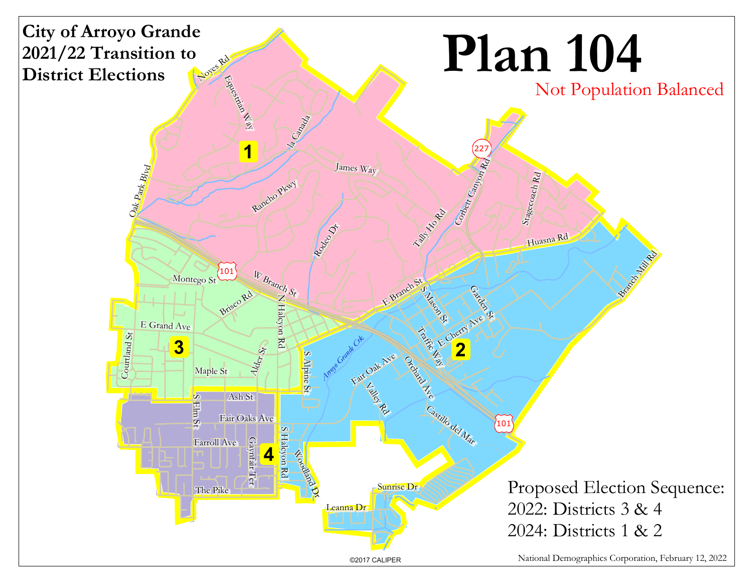